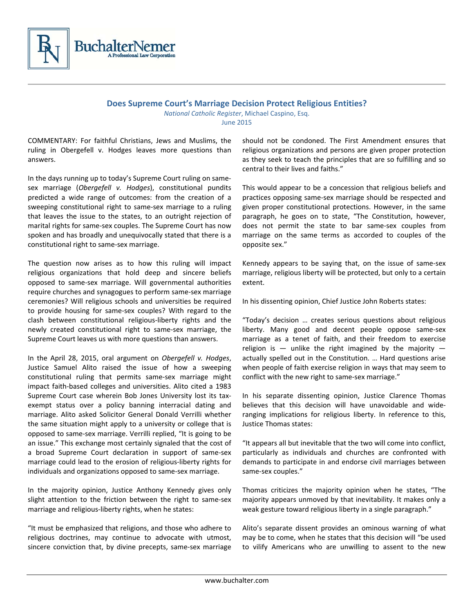

**Does Supreme Court's Marriage Decision Protect Religious Entities?** 

*National Catholic Register*, Michael Caspino, Esq. June 2015

COMMENTARY: For faithful Christians, Jews and Muslims, the ruling in Obergefell v. Hodges leaves more questions than answers.

In the days running up to today's Supreme Court ruling on same‐ sex marriage (*Obergefell v. Hodges*), constitutional pundits predicted a wide range of outcomes: from the creation of a sweeping constitutional right to same‐sex marriage to a ruling that leaves the issue to the states, to an outright rejection of marital rights for same‐sex couples. The Supreme Court has now spoken and has broadly and unequivocally stated that there is a constitutional right to same‐sex marriage.

The question now arises as to how this ruling will impact religious organizations that hold deep and sincere beliefs opposed to same‐sex marriage. Will governmental authorities require churches and synagogues to perform same‐sex marriage ceremonies? Will religious schools and universities be required to provide housing for same‐sex couples? With regard to the clash between constitutional religious‐liberty rights and the newly created constitutional right to same‐sex marriage, the Supreme Court leaves us with more questions than answers.

In the April 28, 2015, oral argument on *Obergefell v. Hodges*, Justice Samuel Alito raised the issue of how a sweeping constitutional ruling that permits same‐sex marriage might impact faith‐based colleges and universities. Alito cited a 1983 Supreme Court case wherein Bob Jones University lost its tax‐ exempt status over a policy banning interracial dating and marriage. Alito asked Solicitor General Donald Verrilli whether the same situation might apply to a university or college that is opposed to same‐sex marriage. Verrilli replied, "It is going to be an issue." This exchange most certainly signaled that the cost of a broad Supreme Court declaration in support of same‐sex marriage could lead to the erosion of religious‐liberty rights for individuals and organizations opposed to same‐sex marriage.

In the majority opinion, Justice Anthony Kennedy gives only slight attention to the friction between the right to same-sex marriage and religious‐liberty rights, when he states:

"It must be emphasized that religions, and those who adhere to religious doctrines, may continue to advocate with utmost, sincere conviction that, by divine precepts, same-sex marriage should not be condoned. The First Amendment ensures that religious organizations and persons are given proper protection as they seek to teach the principles that are so fulfilling and so central to their lives and faiths."

This would appear to be a concession that religious beliefs and practices opposing same‐sex marriage should be respected and given proper constitutional protections. However, in the same paragraph, he goes on to state, "The Constitution, however, does not permit the state to bar same‐sex couples from marriage on the same terms as accorded to couples of the opposite sex."

Kennedy appears to be saying that, on the issue of same‐sex marriage, religious liberty will be protected, but only to a certain extent.

In his dissenting opinion, Chief Justice John Roberts states:

"Today's decision … creates serious questions about religious liberty. Many good and decent people oppose same‐sex marriage as a tenet of faith, and their freedom to exercise religion is  $-$  unlike the right imagined by the majority  $$ actually spelled out in the Constitution. … Hard questions arise when people of faith exercise religion in ways that may seem to conflict with the new right to same‐sex marriage."

In his separate dissenting opinion, Justice Clarence Thomas believes that this decision will have unavoidable and wide‐ ranging implications for religious liberty. In reference to this, Justice Thomas states:

"It appears all but inevitable that the two will come into conflict, particularly as individuals and churches are confronted with demands to participate in and endorse civil marriages between same‐sex couples."

Thomas criticizes the majority opinion when he states, "The majority appears unmoved by that inevitability. It makes only a weak gesture toward religious liberty in a single paragraph."

Alito's separate dissent provides an ominous warning of what may be to come, when he states that this decision will "be used to vilify Americans who are unwilling to assent to the new